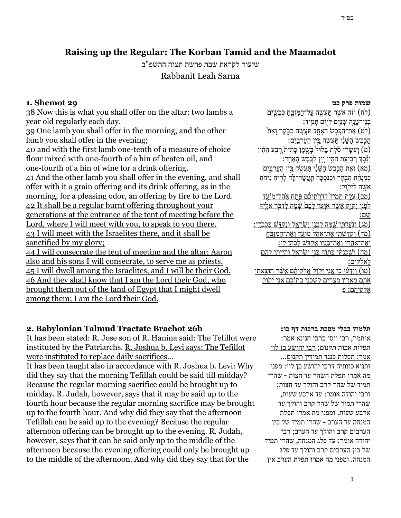# **Raising up the Regular: The Korban Tamid and the Maamadot**

שיעור לקראת שבת פרשת תצוה התשפ"ב Rabbanit Leah Sarna

## **1. Shemot 29**

38 Now this is what you shall offer on the altar: two lambs a year old regularly each day.

39 One lamb you shall offer in the morning, and the other lamb you shall offer in the evening;

40 and with the first lamb one-tenth of a measure of choice flour mixed with one-fourth of a hin of beaten oil, and one-fourth of a hin of wine for a drink offering. 41 And the other lamb you shall offer in the evening, and shall

offer with it a grain offering and its drink offering, as in the morning, for a pleasing odor, an offering by fire to the Lord. 42 It shall be a regular burnt offering throughout your generations at the entrance of the tent of meeting before the Lord, where I will meet with you, to speak to you there. 43 I will meet with the Israelites there, and it shall be sanctified by my glory;

44 I will consecrate the tent of meeting and the altar; Aaron also and his sons I will consecrate, to serve me as priests. 45 I will dwell among the Israelites, and I will be their God. 46 And they shall know that I am the Lord their God, who brought them out of the land of Egypt that I might dwell among them; I am the Lord their God.

# **2. Babylonian Talmud Tractate Brachot 26b**

It has been stated: R. Jose son of R. Hanina said: The Tefillot were instituted by the Patriarchs. R. Joshua b. Levi says: The Tefillot were instituted to replace daily sacrifices…

It has been taught also in accordance with R. Joshua b. Levi: Why did they say that the morning Tefillah could be said till midday? Because the regular morning sacrifice could be brought up to midday. R. Judah, however, says that it may be said up to the fourth hour because the regular morning sacrifice may be brought up to the fourth hour. And why did they say that the afternoon Tefillah can be said up to the evening? Because the regular afternoon offering can be brought up to the evening. R. Judah, however, says that it can be said only up to the middle of the afternoon because the evening offering could only be brought up to the middle of the afternoon. And why did they say that for the

## **שמות פרק כט**

לח) וְוֵ**ׂה אֲשֶׁר תַּעֲשֶׂה עַל־הַמְּזְ**ְבֵּחַ כְּבָשִׂים) בְּנֵי־שֵׁנֵה שָׁנֵיִם לַיּוֹם תַּמִיד: (לט) אֶת־הַכֵּבֶשׂ הַאֲחַד תַּעֲשֶׂה בַּבָּקֶר וְאֶת ַהֲבִּבִשׂ הַשֵּׁנִי תַּעֲשֶׂה בֵּיִן הָעַרְבְּיִם: מ) וְעַשֵׂׂרֹן סֹלֵת בַּלוּל בְּעֵׁמֶן כַּתִית<sup>ַ</sup> רָבַע הַהָין) וְנֵכֶּף רִבְיעִת הַהָין יָיֵן לַכֵּבָשׂ הָאֶחֶד: מא) וְאֵת<sup>{</sup> הַכֶּבֶשׂ הַשֵּׁנִי תַּעֲשֶׂה בֵּין הָעַרְבֵּיִם) כִּמְנָחֵת הַבָּקֵר וּכִנְסְכֵּה <sub>ּ</sub>תֲעֲשֶׂה־לֵ<sup>ּ</sup>ה לְרֵיחַ נִיחֹֹחַ ִא ֶּׁ֖שה ַליקָֹוֽק: (מב) עַלת תִּמִיד (לדֹרֹתיכם פַּתח אַהל־מוֹעד לְפַנִי יִקְוֶק ְאָשׁׁר אַוְעַד לְכָם  $\dot{u}$ שֵׂה לִדַּבֵּר אָלִיִ  $: \Box$ שׂ (מג) וְנַעֲדָתִּי *ַׂשְׁפֶּה לִבְנִי יִשְׂרְאָל וְנָקָדָ*ּשׁ בִּכְבֹדָי: מד) וְקִדְּשָׁתֵי אֱת־אֶהֶל מוֹעד וְאֱת־הַמּזְבָּח ואת־אהרֹן ואת־בּנִיו אַקדָּשׁ לכהן לִי: (מה) וֹשִׁכנתִּי בּתוֹדְ בֵּנֵי יִשׂראל וְהִייִתי לִהְם ֵלאֹלקים: מו) וַיִּדְעַוּ כִּי אֲנֵי יִקְוִק אֱלֹקִיהָם אֲשׁׁר הוֹצֵאתי ( אֶתֶם מַאֶרץ מִצָּרִים לְשָׁכְנֵי בְתוֹכֶם אֶנִי יִקְוָק

 $\kappa$ לֹקיהם: פ

### **תלמוד בבלי מסכת ברכות דף כו:**

איתמר, רבי יוסי ברבי חנינא אמר: תפלות אבות תקנום; רבי יהושע בן לוי אמר: תפלות כנגד תמידין תקנום... ותניא כוותיה דרבי יהושע בן לוי: מפני מה אמרו תפלת השחר עד חצות - שהרי תמיד של שחר קרב והולך עד חצות; ורבי יהודה אומר: עד ארבע שעות, שהרי תמיד של שחר קרב והולך עד ארבע שעות. ומפני מה אמרו תפלת המנחה עד הערב - שהרי תמיד של בין הערבים קרב והולך עד הערב; רבי יהודה אומר: עד פלג המנחה, שהרי תמיד של בין הערבים קרב והולך עד פלג המנחה. ומפני מה אמרו תפלת הערב אין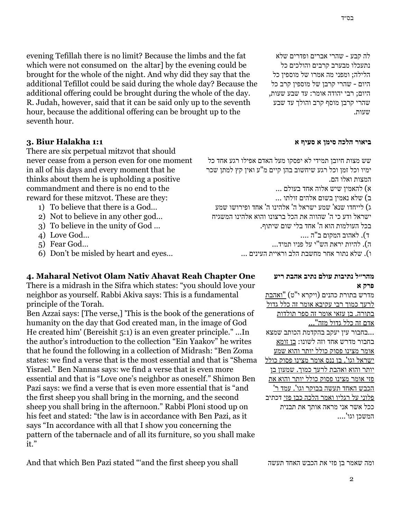לה קבע - שהרי אברים ופדרים שלא נתעכלו מבערב קרבים והולכים כל הלילה; ומפני מה אמרו של מוספין כל היום - שהרי קרבן של מוספין קרב כל היום; רבי יהודה אומר: עד שבע שעות, שהרי קרבן מוסף קרב והולך עד שבע שעות.

## **ביאור הלכה סימן א סעיף א**

שש מצות חיובן תמידי לא יפסקו מעל האדם אפילו רגע אחד כל ימיו וכל זמן וכל רגע שיחשוב בהן קיים מ"ע ואין קץ למתן שכר המצות ואלו הם.

א( להאמין שיש אלוה אחד בעולם ...

ב( שלא נאמין בשום אלהים זולתו ...

ג) לייחדו שנא' שמע ישראל ה' אלהינו ה' אחד ופירושו שמע ישראל ודע כי ה' שהווה את הכל ברצונו והוא אלהינו המשגיח בכל העולמות הוא ה' אחד בלי שום שיתוף.

ד(. לאהוב המקום ב"ה ....

ה(. להיות יראת הש"י על פניו תמיד...

ו(. שלא נתור אחר מחשבת הלב וראיית העינים ...

## **4. Maharal Netivot Olam Nativ Ahavat Reah Chapter One**

evening Tefillah there is no limit? Because the limbs and the fat which were not consumed on the altarl by the evening could be brought for the whole of the night. And why did they say that the additional Tefillot could be said during the whole day? Because the additional offering could be brought during the whole of the day. R. Judah, however, said that it can be said only up to the seventh hour, because the additional offering can be brought up to the

seventh hour.

**3. Biur Halakha 1:1**

4) Love God… 5) Fear God…

There are six perpetual mitzvot that should never cease from a person even for one moment in all of his days and every moment that he thinks about them he is upholding a positive commandment and there is no end to the reward for these mitzvot. These are they: 1) To believe that there is a God… 2) Not to believe in any other god… 3) To believe in the unity of God …

6) Don't be misled by heart and eyes…

There is a midrash in the Sifra which states: "you should love your neighbor as yourself. Rabbi Akiva says: This is a fundamental principle of the Torah.

Ben Azzai says: [The verse,] 'This is the book of the generations of humanity on the day that God created man, in the image of God He created him' (Bereishit 5:1) is an even greater principle." ...In the author's introduction to the collection "Ein Yaakov" he writes that he found the following in a collection of Midrash: "Ben Zoma states: we find a verse that is the most essential and that is "Shema Yisrael." Ben Nannas says: we find a verse that is even more essential and that is "Love one's neighbor as oneself." Shimon Ben Pazi says: we find a verse that is even more essential that is "and the first sheep you shall bring in the morning, and the second sheep you shall bring in the afternoon." Rabbi Ploni stood up on his feet and stated: "the law is in accordance with Ben Pazi, as it says "In accordance with all that I show you concerning the pattern of the tabernacle and of all its furniture, so you shall make it."

### **מהר״ל נתיבות עולם נתיב אהבת ריע פרק א**

מדרש בתורת כהנים )ויקרא י"ט( "ואהבת לרעך כמוך רבי עקיבא אומר זה כלל גדול בתורה. בן עזאי אומר זה ספר תולדות אדם זה כלל גדול מזה"... ...בחבור עין יעקב בהקדמת הכותב שמצא בחבור מדרש אחד וזה לשונו: בן זומא אומר מצינו פסוק כולל יותר והוא שמע ישראל וגו'. בן ננס אומר מצינו פסוק כולל יותר והוא ואהבת לרעך כמוך. שמעון בן פזי אומר מצינו פסוק כולל יותר והוא את הכבש האחד תעשה בבוקר וגו'. עמד ר' פלוני על רגליו ואמר הלכה כבן פזי דכתיב ככל אשר אני מראה אותך את תבנית המשכן וגו'....

And that which Ben Pazi stated "'and the first sheep you shall

ומה שאמר בן פזי את הכבש האחד תעשה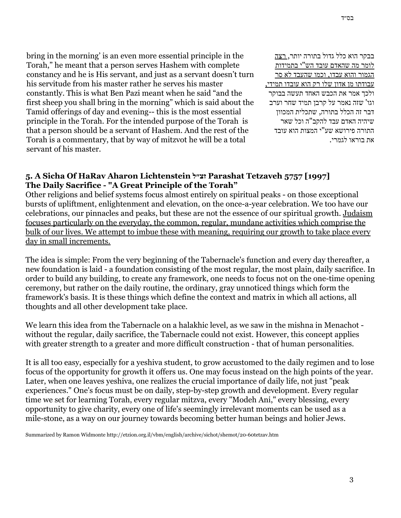bring in the morning' is an even more essential principle in the Torah," he meant that a person serves Hashem with complete constancy and he is His servant, and just as a servant doesn't turn his servitude from his master rather he serves his master constantly. This is what Ben Pazi meant when he said "and the first sheep you shall bring in the morning" which is said about the Tamid offerings of day and evening-- this is the most essential principle in the Torah. For the intended purpose of the Torah is that a person should be a servant of Hashem. And the rest of the Torah is a commentary, that by way of mitzvot he will be a total servant of his master.

בבקר הוא כלל גדול בתורה יותר, רצה לומר מה שהאדם עובד הש"י בתמידות הגמור והוא עבדו, וכמו שהעבד לא סר עבודתו מן אדון שלו רק הוא עובדו תמידי, ולכך אמר את הכבש האחד תעשה בבוקר וגו' שזה נאמר על קרבן תמיד שחר וערב דבר זה הכלל בתורה, שתכלית המכוון שיהיה האדם עבד להקב"ה וכל שאר התורה פירושא שע"י המצות הוא עובד את בוראו לגמרי.

# **5. A Sicha Of HaRav Aharon Lichtenstein זצ״ל Parashat Tetzaveh 5757 [1997] The Daily Sacrifice - "A Great Principle of the Torah"**

Other religions and belief systems focus almost entirely on spiritual peaks - on those exceptional bursts of upliftment, enlightenment and elevation, on the once-a-year celebration. We too have our celebrations, our pinnacles and peaks, but these are not the essence of our spiritual growth. Judaism focuses particularly on the everyday, the common, regular, mundane activities which comprise the bulk of our lives. We attempt to imbue these with meaning, requiring our growth to take place every day in small increments.

The idea is simple: From the very beginning of the Tabernacle's function and every day thereafter, a new foundation is laid - a foundation consisting of the most regular, the most plain, daily sacrifice. In order to build any building, to create any framework, one needs to focus not on the one-time opening ceremony, but rather on the daily routine, the ordinary, gray unnoticed things which form the framework's basis. It is these things which define the context and matrix in which all actions, all thoughts and all other development take place.

We learn this idea from the Tabernacle on a halakhic level, as we saw in the mishna in Menachot without the regular, daily sacrifice, the Tabernacle could not exist. However, this concept applies with greater strength to a greater and more difficult construction - that of human personalities.

It is all too easy, especially for a yeshiva student, to grow accustomed to the daily regimen and to lose focus of the opportunity for growth it offers us. One may focus instead on the high points of the year. Later, when one leaves yeshiva, one realizes the crucial importance of daily life, not just "peak experiences." One's focus must be on daily, step-by-step growth and development. Every regular time we set for learning Torah, every regular mitzva, every "Modeh Ani," every blessing, every opportunity to give charity, every one of life's seemingly irrelevant moments can be used as a mile-stone, as a way on our journey towards becoming better human beings and holier Jews.

Summarized by Ramon Widmonte http://etzion.org.il/vbm/english/archive/sichot/shemot/20-60tetzav.htm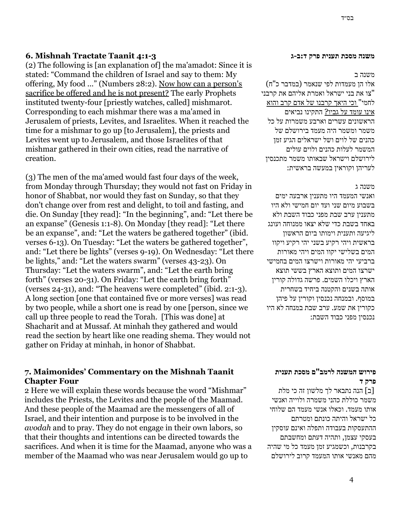# **6. Mishnah Tractate Taanit 4:1-3**

(2) The following is [an explanation of] the ma'amadot: Since it is stated: "Command the children of Israel and say to them: My offering, My food ..." (Numbers 28:2). Now how can a person's sacrifice be offered and he is not present? The early Prophets instituted twenty-four [priestly watches, called] mishmarot. Corresponding to each mishmar there was a ma'amed in Jerusalem of priests, Levites, and Israelites. When it reached the time for a mishmar to go up [to Jerusalem], the priests and Levites went up to Jerusalem, and those Israelites of that mishmar gathered in their own cities, read the narrative of creation.

(3) The men of the ma'amed would fast four days of the week, from Monday through Thursday; they would not fast on Friday in honor of Shabbat, nor would they fast on Sunday, so that they don't change over from rest and delight, to toil and fasting, and die. On Sunday [they read]: "In the beginning", and: "Let there be an expanse" (Genesis 1:1-8). On Monday [they read]: "Let there be an expanse", and: "Let the waters be gathered together" (ibid. verses 6-13). On Tuesday: "Let the waters be gathered together", and: "Let there be lights" (verses 9-19). On Wednesday: "Let there be lights," and: "Let the waters swarm" (verses 43-23). On Thursday: "Let the waters swarm", and: "Let the earth bring forth" (verses 20-31). On Friday: "Let the earth bring forth" (verses 24-31), and: "The heavens were completed" (ibid. 2:1-3). A long section [one that contained five or more verses] was read by two people, while a short one is read by one [person, since we call up three people to read the Torah. [This was done] at Shacharit and at Mussaf. At minhah they gathered and would read the section by heart like one reading shema. They would not gather on Friday at minhah, in honor of Shabbat.

# **7. Maimonides' Commentary on the Mishnah Taanit Chapter Four**

2 Here we will explain these words because the word "Mishmar" includes the Priests, the Levites and the people of the Maamad. And these people of the Maamad are the messengers of all of Israel, and their intention and purpose is to be involved in the *avodah* and to pray. They do not engage in their own labors, so that their thoughts and intentions can be directed towards the sacrifices. And when it is time for the Maamad, anyone who was a member of the Maamad who was near Jerusalem would go up to

#### **משנה מסכת תענית פרק ד:ב-ג**

#### משנה ב

אלו הן מעמדות לפי שנאמר (במדבר כ"ח) "צו את בני ישראל ואמרת אליהם את קרבני לחמי" וכי היאך קרבנו של אדם קרב והוא אינו עומד על גביו? התקינו נביאים הראשונים עשרים וארבע משמרות על כל משמר ומשמר היה מעמד בירושלם של כהנים של לוים ושל ישראלים הגיע זמן המשמר לעלות כהנים ולוים עולים לירושלם וישראל שבאותו משמר מתכנסין לעריהן וקוראין במעשה בראשית:

### משנה ג

ואנשי המעמד היו מתענין ארבעה ימים בשבוע מיום שני ועד יום חמישי ולא היו מתענין ערב שבת מפני כבוד השבת ולא באחד בשבת כדי שלא יצאו ממנוחה ועונג ליגיעה ותענית וימותו ביום הראשון בראשית ויהי רקיע בשני יהי רקיע ויקוו המים בשלישי יקוו המים ויהי מאורות ברביעי יהי מאורות וישרצו המים בחמישי ישרצו המים ותוצא הארץ בששי תוצא הארץ ויכלו השמים. פרשה גדולה קורין אותה בשנים והקטנה ביחיד בשחרית במוסף. ובמנחה נכנסין וקורין על פיהן כקורין את שמע. ערב שבת במנחה לא היו נכנסין מפני כבוד השבת:

# **פירוש המשנה לרמב"ם מסכת תענית פרק ד**

]ב[ הנה נתבאר לך מלשון זה כי מלת משמר כוללת כהני משמרה ולוייה ואנשי אותו מעמד. וכאלו אנשי מעמד הם שלוחי כל ישראל והיתה כונתם ומטרתם ההתעסקות בעבודה ותפלה ואינם עוסקין בעסקי עצמן, ותהיה דעתם ומחשבתם בקרבנות, וכשמגיע זמן מעמד כל מי שהיה מהם מאנשי אותו המעמד קרוב לירושלם